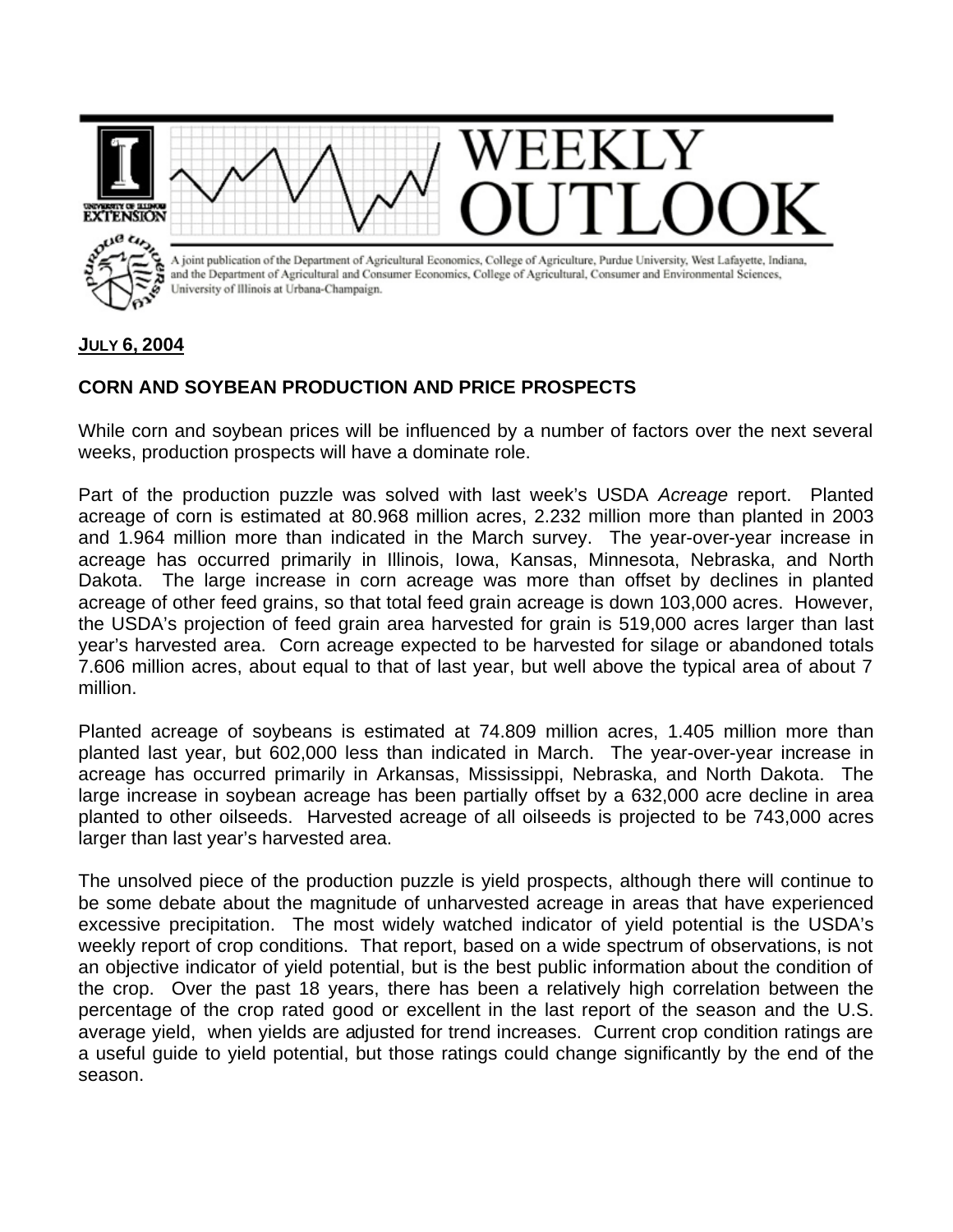

## **JULY 6, 2004**

## **CORN AND SOYBEAN PRODUCTION AND PRICE PROSPECTS**

While corn and soybean prices will be influenced by a number of factors over the next several weeks, production prospects will have a dominate role.

Part of the production puzzle was solved with last week's USDA *Acreage* report. Planted acreage of corn is estimated at 80.968 million acres, 2.232 million more than planted in 2003 and 1.964 million more than indicated in the March survey. The year-over-year increase in acreage has occurred primarily in Illinois, Iowa, Kansas, Minnesota, Nebraska, and North Dakota. The large increase in corn acreage was more than offset by declines in planted acreage of other feed grains, so that total feed grain acreage is down 103,000 acres. However, the USDA's projection of feed grain area harvested for grain is 519,000 acres larger than last year's harvested area. Corn acreage expected to be harvested for silage or abandoned totals 7.606 million acres, about equal to that of last year, but well above the typical area of about 7 million.

Planted acreage of soybeans is estimated at 74.809 million acres, 1.405 million more than planted last year, but 602,000 less than indicated in March. The year-over-year increase in acreage has occurred primarily in Arkansas, Mississippi, Nebraska, and North Dakota. The large increase in soybean acreage has been partially offset by a 632,000 acre decline in area planted to other oilseeds. Harvested acreage of all oilseeds is projected to be 743,000 acres larger than last year's harvested area.

The unsolved piece of the production puzzle is yield prospects, although there will continue to be some debate about the magnitude of unharvested acreage in areas that have experienced excessive precipitation. The most widely watched indicator of yield potential is the USDA's weekly report of crop conditions. That report, based on a wide spectrum of observations, is not an objective indicator of yield potential, but is the best public information about the condition of the crop. Over the past 18 years, there has been a relatively high correlation between the percentage of the crop rated good or excellent in the last report of the season and the U.S. average yield, when yields are adjusted for trend increases. Current crop condition ratings are a useful guide to yield potential, but those ratings could change significantly by the end of the season.